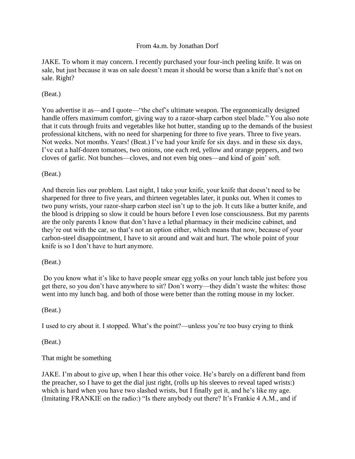### From 4a.m. by Jonathan Dorf

JAKE. To whom it may concern. I recently purchased your four-inch peeling knife. It was on sale, but just because it was on sale doesn't mean it should be worse than a knife that's not on sale. Right?

### (Beat.)

You advertise it as—and I quote—"the chef's ultimate weapon. The ergonomically designed handle offers maximum comfort, giving way to a razor-sharp carbon steel blade." You also note that it cuts through fruits and vegetables like hot butter, standing up to the demands of the busiest professional kitchens, with no need for sharpening for three to five years. Three to five years. Not weeks. Not months. Years! (Beat.) I've had your knife for six days. and in these six days, I've cut a half-dozen tomatoes, two onions, one each red, yellow and orange peppers, and two cloves of garlic. Not bunches—cloves, and not even big ones—and kind of goin' soft.

### (Beat.)

And therein lies our problem. Last night, I take your knife, your knife that doesn't need to be sharpened for three to five years, and thirteen vegetables later, it punks out. When it comes to two puny wrists, your razor-sharp carbon steel isn't up to the job. It cuts like a butter knife, and the blood is dripping so slow it could be hours before I even lose consciousness. But my parents are the only parents I know that don't have a lethal pharmacy in their medicine cabinet, and they're out with the car, so that's not an option either, which means that now, because of your carbon-steel disappointment, I have to sit around and wait and hurt. The whole point of your knife is so I don't have to hurt anymore.

### (Beat.)

Do you know what it's like to have people smear egg yolks on your lunch table just before you get there, so you don't have anywhere to sit? Don't worry—they didn't waste the whites: those went into my lunch bag. and both of those were better than the rotting mouse in my locker.

### (Beat.)

I used to cry about it. I stopped. What's the point?—unless you're too busy crying to think

(Beat.)

# That might be something

JAKE. I'm about to give up, when I hear this other voice. He's barely on a different band from the preacher, so I have to get the dial just right, (rolls up his sleeves to reveal taped wrists:) which is hard when you have two slashed wrists, but I finally get it, and he's like my age. (Imitating FRANKIE on the radio:) "Is there anybody out there? It's Frankie 4 A.M., and if